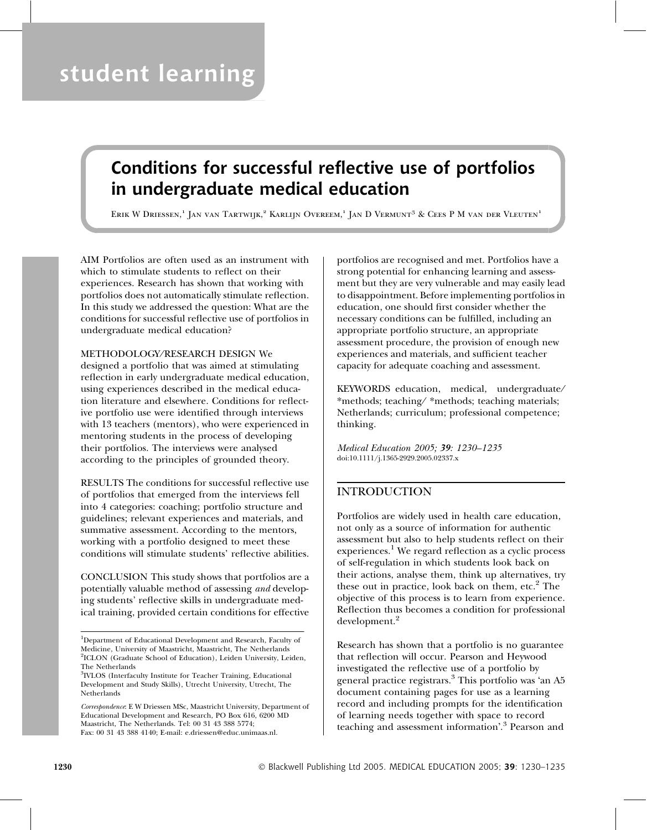# Conditions for successful reflective use of portfolios in undergraduate medical education

ERIK W DRIESSEN,<sup>1</sup> JAN VAN TARTWIJK,<sup>2</sup> KARLIJN OVEREEM,<sup>1</sup> JAN D VERMUNT<sup>3</sup> & CEES P M van der Vleuten<sup>1</sup>

AIM Portfolios are often used as an instrument with which to stimulate students to reflect on their experiences. Research has shown that working with portfolios does not automatically stimulate reflection. In this study we addressed the question: What are the conditions for successful reflective use of portfolios in undergraduate medical education?

METHODOLOGY ⁄RESEARCH DESIGN We designed a portfolio that was aimed at stimulating reflection in early undergraduate medical education, using experiences described in the medical education literature and elsewhere. Conditions for reflective portfolio use were identified through interviews with 13 teachers (mentors), who were experienced in mentoring students in the process of developing their portfolios. The interviews were analysed according to the principles of grounded theory.

RESULTS The conditions for successful reflective use of portfolios that emerged from the interviews fell into 4 categories: coaching; portfolio structure and guidelines; relevant experiences and materials, and summative assessment. According to the mentors, working with a portfolio designed to meet these conditions will stimulate students' reflective abilities.

CONCLUSION This study shows that portfolios are a potentially valuable method of assessing and developing students' reflective skills in undergraduate medical training, provided certain conditions for effective portfolios are recognised and met. Portfolios have a strong potential for enhancing learning and assessment but they are very vulnerable and may easily lead to disappointment. Before implementing portfolios in education, one should first consider whether the necessary conditions can be fulfilled, including an appropriate portfolio structure, an appropriate assessment procedure, the provision of enough new experiences and materials, and sufficient teacher capacity for adequate coaching and assessment.

KEYWORDS education, medical, undergraduate/ \*methods; teaching/ \*methods; teaching materials; Netherlands; curriculum; professional competence; thinking.

Medical Education 2005; 39: 1230–1235 doi:10.1111/j.1365-2929.2005.02337.x

## INTRODUCTION

Portfolios are widely used in health care education, not only as a source of information for authentic assessment but also to help students reflect on their  $experiments<sup>1</sup>$  We regard reflection as a cyclic process of self-regulation in which students look back on their actions, analyse them, think up alternatives, try these out in practice, look back on them,  $etc.<sup>2</sup>$  The objective of this process is to learn from experience. Reflection thus becomes a condition for professional development.<sup>2</sup>

Research has shown that a portfolio is no guarantee that reflection will occur. Pearson and Heywood investigated the reflective use of a portfolio by general practice registrars.<sup>3</sup> This portfolio was 'an A5 document containing pages for use as a learning record and including prompts for the identification of learning needs together with space to record teaching and assessment information'.<sup>3</sup> Pearson and

<sup>&</sup>lt;sup>1</sup>Department of Educational Development and Research, Faculty of Medicine, University of Maastricht, Maastricht, The Netherlands 2 ICLON (Graduate School of Education), Leiden University, Leiden, The Netherlands

<sup>3</sup> IVLOS (Interfaculty Institute for Teacher Training, Educational Development and Study Skills), Utrecht University, Utrecht, The Netherlands

Correspondence: E W Driessen MSc, Maastricht University, Department of Educational Development and Research, PO Box 616, 6200 MD Maastricht, The Netherlands. Tel: 00 31 43 388 5774; Fax: 00 31 43 388 4140; E-mail: e.driessen@educ.unimaas.nl.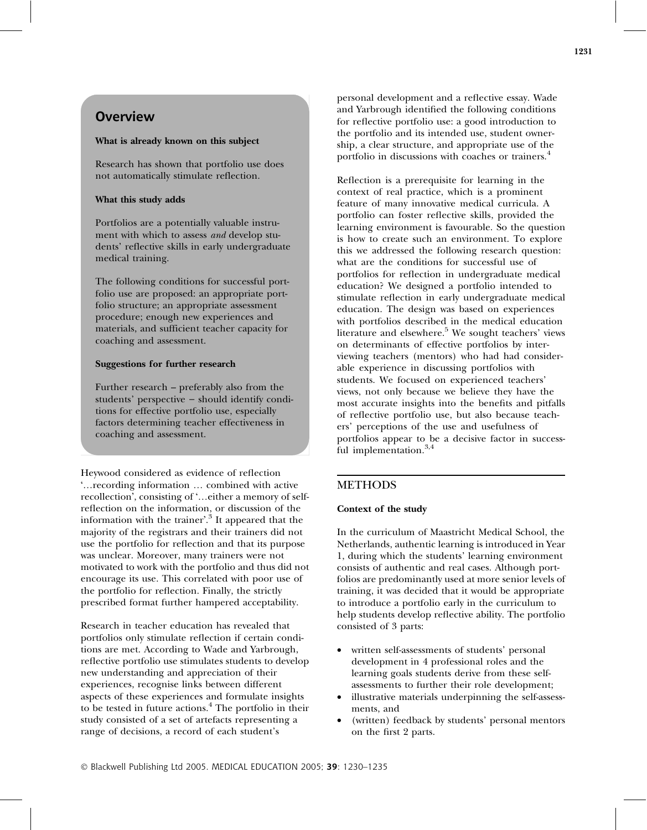# **Overview**

## What is already known on this subject

Research has shown that portfolio use does not automatically stimulate reflection.

## What this study adds

Portfolios are a potentially valuable instrument with which to assess and develop students' reflective skills in early undergraduate medical training.

The following conditions for successful portfolio use are proposed: an appropriate portfolio structure; an appropriate assessment procedure; enough new experiences and materials, and sufficient teacher capacity for coaching and assessment.

## Suggestions for further research

Further research – preferably also from the students' perspective  $-$  should identify conditions for effective portfolio use, especially factors determining teacher effectiveness in coaching and assessment.

Heywood considered as evidence of reflection …recording information … combined with active recollection', consisting of '...either a memory of selfreflection on the information, or discussion of the information with the trainer'.<sup>3</sup> It appeared that the majority of the registrars and their trainers did not use the portfolio for reflection and that its purpose was unclear. Moreover, many trainers were not motivated to work with the portfolio and thus did not encourage its use. This correlated with poor use of the portfolio for reflection. Finally, the strictly prescribed format further hampered acceptability.

Research in teacher education has revealed that portfolios only stimulate reflection if certain conditions are met. According to Wade and Yarbrough, reflective portfolio use stimulates students to develop new understanding and appreciation of their experiences, recognise links between different aspects of these experiences and formulate insights to be tested in future actions.<sup>4</sup> The portfolio in their study consisted of a set of artefacts representing a range of decisions, a record of each student's

personal development and a reflective essay. Wade and Yarbrough identified the following conditions for reflective portfolio use: a good introduction to the portfolio and its intended use, student ownership, a clear structure, and appropriate use of the portfolio in discussions with coaches or trainers.<sup>4</sup>

Reflection is a prerequisite for learning in the context of real practice, which is a prominent feature of many innovative medical curricula. A portfolio can foster reflective skills, provided the learning environment is favourable. So the question is how to create such an environment. To explore this we addressed the following research question: what are the conditions for successful use of portfolios for reflection in undergraduate medical education? We designed a portfolio intended to stimulate reflection in early undergraduate medical education. The design was based on experiences with portfolios described in the medical education literature and elsewhere.<sup>5</sup> We sought teachers' views on determinants of effective portfolios by interviewing teachers (mentors) who had had considerable experience in discussing portfolios with students. We focused on experienced teachers' views, not only because we believe they have the most accurate insights into the benefits and pitfalls of reflective portfolio use, but also because teachers' perceptions of the use and usefulness of portfolios appear to be a decisive factor in successful implementation.<sup>3,4</sup>

## METHODS

### Context of the study

In the curriculum of Maastricht Medical School, the Netherlands, authentic learning is introduced in Year 1, during which the students' learning environment consists of authentic and real cases. Although portfolios are predominantly used at more senior levels of training, it was decided that it would be appropriate to introduce a portfolio early in the curriculum to help students develop reflective ability. The portfolio consisted of 3 parts:

- written self-assessments of students' personal development in 4 professional roles and the learning goals students derive from these selfassessments to further their role development;
- illustrative materials underpinning the self-assessments, and
- (written) feedback by students' personal mentors on the first 2 parts.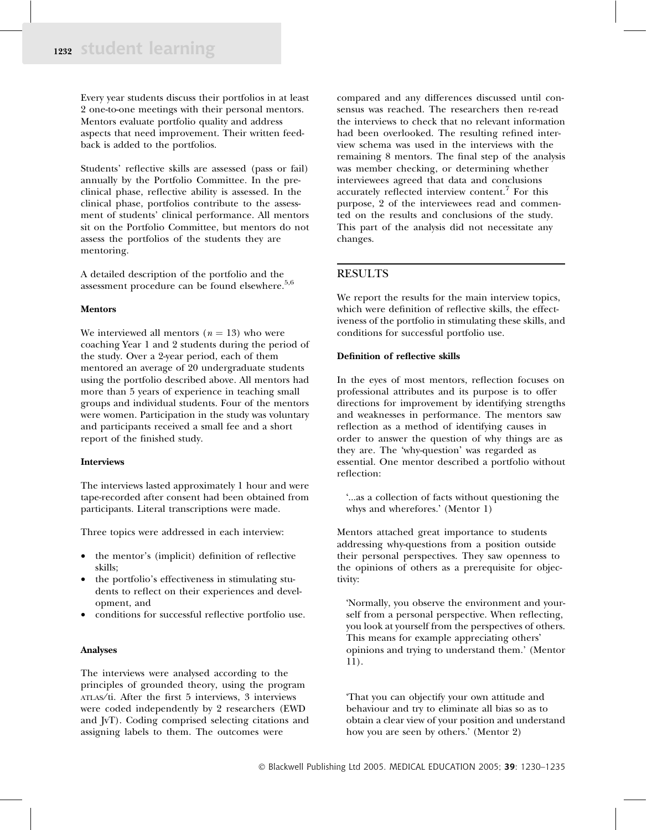Every year students discuss their portfolios in at least 2 one-to-one meetings with their personal mentors. Mentors evaluate portfolio quality and address aspects that need improvement. Their written feedback is added to the portfolios.

Students' reflective skills are assessed (pass or fail) annually by the Portfolio Committee. In the preclinical phase, reflective ability is assessed. In the clinical phase, portfolios contribute to the assessment of students' clinical performance. All mentors sit on the Portfolio Committee, but mentors do not assess the portfolios of the students they are mentoring.

A detailed description of the portfolio and the assessment procedure can be found elsewhere.<sup>5,6</sup>

#### Mentors

We interviewed all mentors  $(n = 13)$  who were coaching Year 1 and 2 students during the period of the study. Over a 2-year period, each of them mentored an average of 20 undergraduate students using the portfolio described above. All mentors had more than 5 years of experience in teaching small groups and individual students. Four of the mentors were women. Participation in the study was voluntary and participants received a small fee and a short report of the finished study.

## Interviews

The interviews lasted approximately 1 hour and were tape-recorded after consent had been obtained from participants. Literal transcriptions were made.

Three topics were addressed in each interview:

- the mentor's (implicit) definition of reflective skills;
- the portfolio's effectiveness in stimulating students to reflect on their experiences and development, and
- conditions for successful reflective portfolio use.

#### Analyses

The interviews were analysed according to the principles of grounded theory, using the program ATLAS ⁄ti. After the first 5 interviews, 3 interviews were coded independently by 2 researchers (EWD and JvT). Coding comprised selecting citations and assigning labels to them. The outcomes were

compared and any differences discussed until consensus was reached. The researchers then re-read the interviews to check that no relevant information had been overlooked. The resulting refined interview schema was used in the interviews with the remaining 8 mentors. The final step of the analysis was member checking, or determining whether interviewees agreed that data and conclusions accurately reflected interview content.<sup>7</sup> For this purpose, 2 of the interviewees read and commented on the results and conclusions of the study. This part of the analysis did not necessitate any changes.

## RESULTS

We report the results for the main interview topics, which were definition of reflective skills, the effectiveness of the portfolio in stimulating these skills, and conditions for successful portfolio use.

#### Definition of reflective skills

In the eyes of most mentors, reflection focuses on professional attributes and its purpose is to offer directions for improvement by identifying strengths and weaknesses in performance. The mentors saw reflection as a method of identifying causes in order to answer the question of why things are as they are. The 'why-question' was regarded as essential. One mentor described a portfolio without reflection:

...as a collection of facts without questioning the whys and wherefores.' (Mentor 1)

Mentors attached great importance to students addressing why-questions from a position outside their personal perspectives. They saw openness to the opinions of others as a prerequisite for objectivity:

Normally, you observe the environment and yourself from a personal perspective. When reflecting, you look at yourself from the perspectives of others. This means for example appreciating others' opinions and trying to understand them.' (Mentor 11).

That you can objectify your own attitude and behaviour and try to eliminate all bias so as to obtain a clear view of your position and understand how you are seen by others.' (Mentor 2)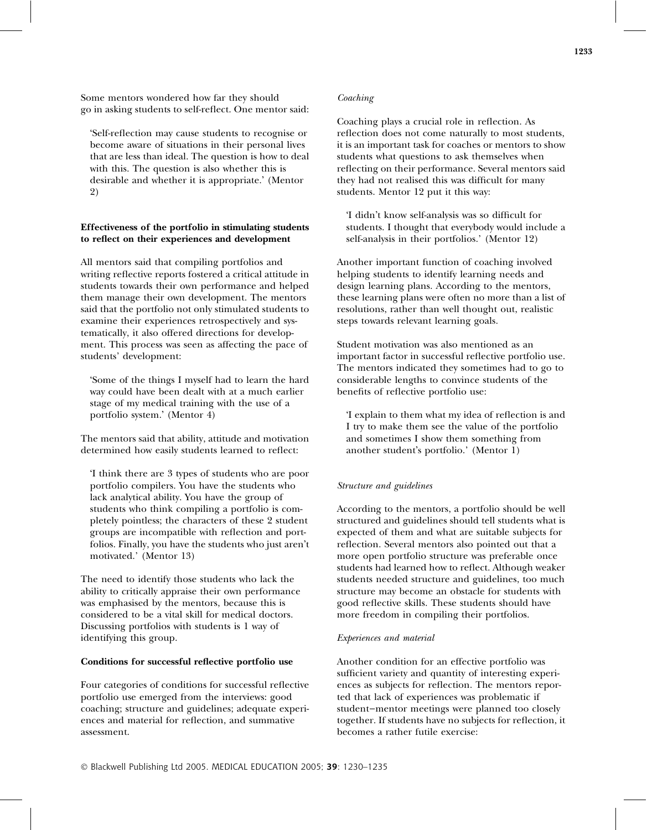Some mentors wondered how far they should go in asking students to self-reflect. One mentor said:

Self-reflection may cause students to recognise or become aware of situations in their personal lives that are less than ideal. The question is how to deal with this. The question is also whether this is desirable and whether it is appropriate.' (Mentor 2)

## Effectiveness of the portfolio in stimulating students to reflect on their experiences and development

All mentors said that compiling portfolios and writing reflective reports fostered a critical attitude in students towards their own performance and helped them manage their own development. The mentors said that the portfolio not only stimulated students to examine their experiences retrospectively and systematically, it also offered directions for development. This process was seen as affecting the pace of students' development:

Some of the things I myself had to learn the hard way could have been dealt with at a much earlier stage of my medical training with the use of a portfolio system.' (Mentor 4)

The mentors said that ability, attitude and motivation determined how easily students learned to reflect:

I think there are 3 types of students who are poor portfolio compilers. You have the students who lack analytical ability. You have the group of students who think compiling a portfolio is completely pointless; the characters of these 2 student groups are incompatible with reflection and portfolios. Finally, you have the students who just aren't motivated.' (Mentor 13)

The need to identify those students who lack the ability to critically appraise their own performance was emphasised by the mentors, because this is considered to be a vital skill for medical doctors. Discussing portfolios with students is 1 way of identifying this group.

### Conditions for successful reflective portfolio use

Four categories of conditions for successful reflective portfolio use emerged from the interviews: good coaching; structure and guidelines; adequate experiences and material for reflection, and summative assessment.

## Coaching

Coaching plays a crucial role in reflection. As reflection does not come naturally to most students, it is an important task for coaches or mentors to show students what questions to ask themselves when reflecting on their performance. Several mentors said they had not realised this was difficult for many students. Mentor 12 put it this way:

I didn-t know self-analysis was so difficult for students. I thought that everybody would include a self-analysis in their portfolios.' (Mentor 12)

Another important function of coaching involved helping students to identify learning needs and design learning plans. According to the mentors, these learning plans were often no more than a list of resolutions, rather than well thought out, realistic steps towards relevant learning goals.

Student motivation was also mentioned as an important factor in successful reflective portfolio use. The mentors indicated they sometimes had to go to considerable lengths to convince students of the benefits of reflective portfolio use:

I explain to them what my idea of reflection is and I try to make them see the value of the portfolio and sometimes I show them something from another student's portfolio.' (Mentor 1)

### Structure and guidelines

According to the mentors, a portfolio should be well structured and guidelines should tell students what is expected of them and what are suitable subjects for reflection. Several mentors also pointed out that a more open portfolio structure was preferable once students had learned how to reflect. Although weaker students needed structure and guidelines, too much structure may become an obstacle for students with good reflective skills. These students should have more freedom in compiling their portfolios.

### Experiences and material

Another condition for an effective portfolio was sufficient variety and quantity of interesting experiences as subjects for reflection. The mentors reported that lack of experiences was problematic if student–mentor meetings were planned too closely together. If students have no subjects for reflection, it becomes a rather futile exercise: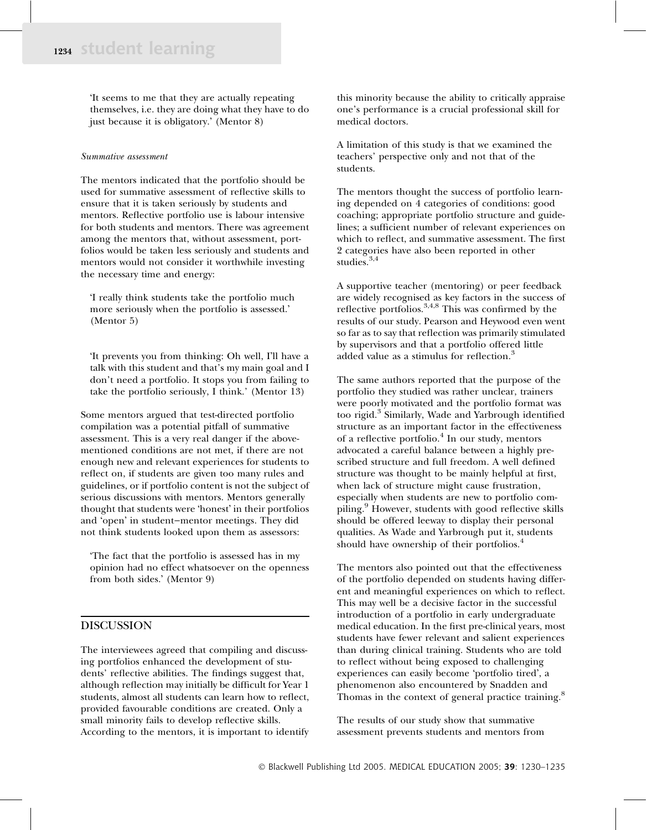It seems to me that they are actually repeating themselves, i.e. they are doing what they have to do just because it is obligatory.' (Mentor 8)

#### Summative assessment

The mentors indicated that the portfolio should be used for summative assessment of reflective skills to ensure that it is taken seriously by students and mentors. Reflective portfolio use is labour intensive for both students and mentors. There was agreement among the mentors that, without assessment, portfolios would be taken less seriously and students and mentors would not consider it worthwhile investing the necessary time and energy:

I really think students take the portfolio much more seriously when the portfolio is assessed.' (Mentor 5)

'It prevents you from thinking: Oh well, I'll have a talk with this student and that's my main goal and I don't need a portfolio. It stops you from failing to take the portfolio seriously, I think.' (Mentor 13)

Some mentors argued that test-directed portfolio compilation was a potential pitfall of summative assessment. This is a very real danger if the abovementioned conditions are not met, if there are not enough new and relevant experiences for students to reflect on, if students are given too many rules and guidelines, or if portfolio content is not the subject of serious discussions with mentors. Mentors generally thought that students were 'honest' in their portfolios and 'open' in student–mentor meetings. They did not think students looked upon them as assessors:

The fact that the portfolio is assessed has in my opinion had no effect whatsoever on the openness from both sides.' (Mentor 9)

## DISCUSSION

The interviewees agreed that compiling and discussing portfolios enhanced the development of students' reflective abilities. The findings suggest that, although reflection may initially be difficult for Year 1 students, almost all students can learn how to reflect, provided favourable conditions are created. Only a small minority fails to develop reflective skills. According to the mentors, it is important to identify this minority because the ability to critically appraise one's performance is a crucial professional skill for medical doctors.

A limitation of this study is that we examined the teachers' perspective only and not that of the students.

The mentors thought the success of portfolio learning depended on 4 categories of conditions: good coaching; appropriate portfolio structure and guidelines; a sufficient number of relevant experiences on which to reflect, and summative assessment. The first 2 categories have also been reported in other studies.<sup>3,4</sup>

A supportive teacher (mentoring) or peer feedback are widely recognised as key factors in the success of reflective portfolios.3,4,8 This was confirmed by the results of our study. Pearson and Heywood even went so far as to say that reflection was primarily stimulated by supervisors and that a portfolio offered little added value as a stimulus for reflection.<sup>3</sup>

The same authors reported that the purpose of the portfolio they studied was rather unclear, trainers were poorly motivated and the portfolio format was too rigid.<sup>3</sup> Similarly, Wade and Yarbrough identified structure as an important factor in the effectiveness of a reflective portfolio.<sup>4</sup> In our study, mentors advocated a careful balance between a highly prescribed structure and full freedom. A well defined structure was thought to be mainly helpful at first, when lack of structure might cause frustration, especially when students are new to portfolio compiling.9 However, students with good reflective skills should be offered leeway to display their personal qualities. As Wade and Yarbrough put it, students should have ownership of their portfolios.<sup>4</sup>

The mentors also pointed out that the effectiveness of the portfolio depended on students having different and meaningful experiences on which to reflect. This may well be a decisive factor in the successful introduction of a portfolio in early undergraduate medical education. In the first pre-clinical years, most students have fewer relevant and salient experiences than during clinical training. Students who are told to reflect without being exposed to challenging experiences can easily become 'portfolio tired', a phenomenon also encountered by Snadden and Thomas in the context of general practice training.<sup>8</sup>

The results of our study show that summative assessment prevents students and mentors from